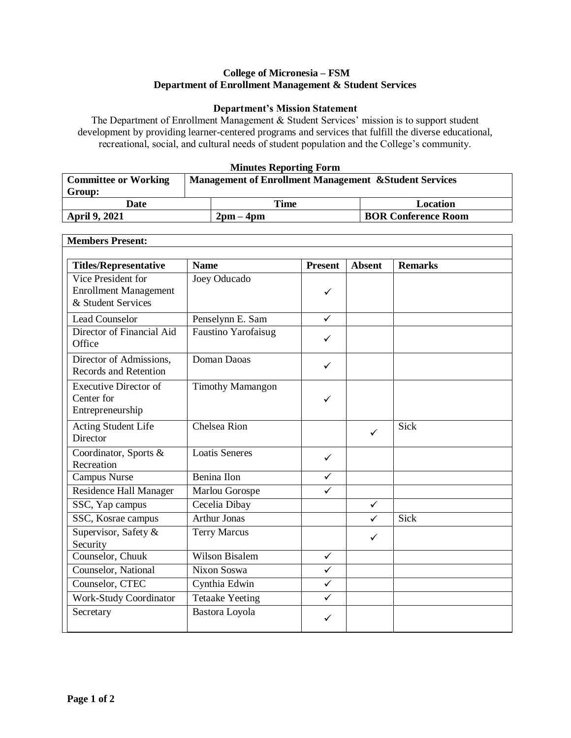## **College of Micronesia – FSM Department of Enrollment Management & Student Services**

## **Department's Mission Statement**

The Department of Enrollment Management & Student Services' mission is to support student development by providing learner-centered programs and services that fulfill the diverse educational, recreational, social, and cultural needs of student population and the College's community.

## **Minutes Reporting Form**

| <b>Committee or Working</b> | <b>Management of Enrollment Management &amp; Student Services</b> |                             |                            |  |
|-----------------------------|-------------------------------------------------------------------|-----------------------------|----------------------------|--|
| Group:                      |                                                                   |                             |                            |  |
| Date                        |                                                                   | Time                        | Location                   |  |
| <b>April 9, 2021</b>        |                                                                   | $2 \text{pm} - 4 \text{pm}$ | <b>BOR Conference Room</b> |  |

٦

| <b>Members Present:</b>                                                  |                            |                |               |                |  |
|--------------------------------------------------------------------------|----------------------------|----------------|---------------|----------------|--|
| <b>Titles/Representative</b>                                             | <b>Name</b>                | <b>Present</b> | <b>Absent</b> | <b>Remarks</b> |  |
| Vice President for<br><b>Enrollment Management</b><br>& Student Services | Joey Oducado               | ✓              |               |                |  |
| <b>Lead Counselor</b>                                                    | Penselynn E. Sam           | $\checkmark$   |               |                |  |
| Director of Financial Aid<br>Office                                      | <b>Faustino Yarofaisug</b> | $\checkmark$   |               |                |  |
| Director of Admissions,<br>Records and Retention                         | Doman Daoas                | ✓              |               |                |  |
| <b>Executive Director of</b><br>Center for<br>Entrepreneurship           | <b>Timothy Mamangon</b>    | ✓              |               |                |  |
| Acting Student Life<br>Director                                          | Chelsea Rion               |                | ✓             | Sick           |  |
| Coordinator, Sports &<br>Recreation                                      | <b>Loatis Seneres</b>      | $\checkmark$   |               |                |  |
| Campus Nurse                                                             | Benina Ilon                | $\checkmark$   |               |                |  |
| Residence Hall Manager                                                   | Marlou Gorospe             | ✓              |               |                |  |
| SSC, Yap campus                                                          | Cecelia Dibay              |                | $\checkmark$  |                |  |
| SSC, Kosrae campus                                                       | <b>Arthur Jonas</b>        |                | $\checkmark$  | Sick           |  |
| Supervisor, Safety &<br>Security                                         | <b>Terry Marcus</b>        |                | ✓             |                |  |
| Counselor, Chuuk                                                         | <b>Wilson Bisalem</b>      | $\checkmark$   |               |                |  |
| Counselor, National                                                      | Nixon Soswa                | ✓              |               |                |  |
| Counselor, CTEC                                                          | Cynthia Edwin              | $\checkmark$   |               |                |  |
| <b>Work-Study Coordinator</b>                                            | <b>Tetaake Yeeting</b>     | $\checkmark$   |               |                |  |
| Secretary                                                                | Bastora Loyola             | ✓              |               |                |  |